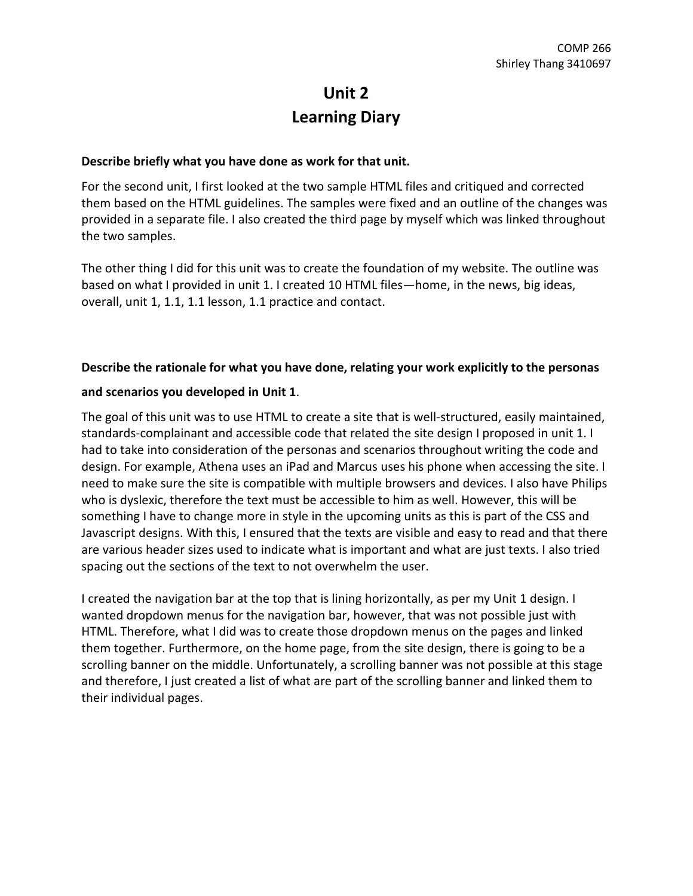# **Unit 2 Learning Diary**

#### **Describe briefly what you have done as work for that unit.**

For the second unit, I first looked at the two sample HTML files and critiqued and corrected them based on the HTML guidelines. The samples were fixed and an outline of the changes was provided in a separate file. I also created the third page by myself which was linked throughout the two samples.

The other thing I did for this unit was to create the foundation of my website. The outline was based on what I provided in unit 1. I created 10 HTML files—home, in the news, big ideas, overall, unit 1, 1.1, 1.1 lesson, 1.1 practice and contact.

#### **Describe the rationale for what you have done, relating your work explicitly to the personas**

#### **and scenarios you developed in Unit 1**.

The goal of this unit was to use HTML to create a site that is well-structured, easily maintained, standards-complainant and accessible code that related the site design I proposed in unit 1. I had to take into consideration of the personas and scenarios throughout writing the code and design. For example, Athena uses an iPad and Marcus uses his phone when accessing the site. I need to make sure the site is compatible with multiple browsers and devices. I also have Philips who is dyslexic, therefore the text must be accessible to him as well. However, this will be something I have to change more in style in the upcoming units as this is part of the CSS and Javascript designs. With this, I ensured that the texts are visible and easy to read and that there are various header sizes used to indicate what is important and what are just texts. I also tried spacing out the sections of the text to not overwhelm the user.

I created the navigation bar at the top that is lining horizontally, as per my Unit 1 design. I wanted dropdown menus for the navigation bar, however, that was not possible just with HTML. Therefore, what I did was to create those dropdown menus on the pages and linked them together. Furthermore, on the home page, from the site design, there is going to be a scrolling banner on the middle. Unfortunately, a scrolling banner was not possible at this stage and therefore, I just created a list of what are part of the scrolling banner and linked them to their individual pages.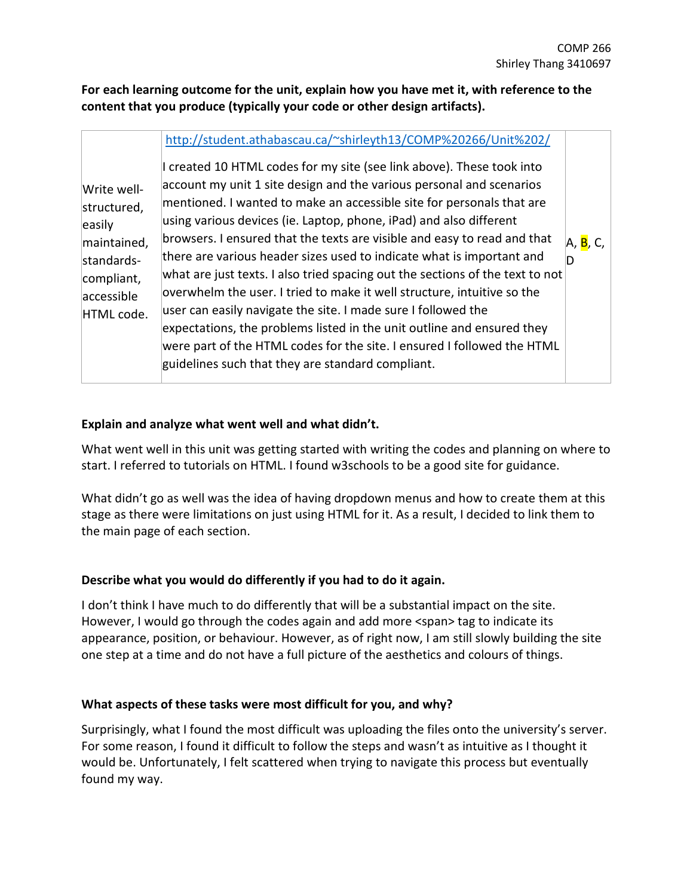**For each learning outcome for the unit, explain how you have met it, with reference to the content that you produce (typically your code or other design artifacts).** 

| ID.<br>what are just texts. I also tried spacing out the sections of the text to not<br>compliant,<br>overwhelm the user. I tried to make it well structure, intuitive so the<br>accessible<br>user can easily navigate the site. I made sure I followed the<br>HTML code.<br>expectations, the problems listed in the unit outline and ensured they<br>were part of the HTML codes for the site. I ensured I followed the HTML<br>guidelines such that they are standard compliant. | Write well-<br>structured,<br>easily<br>maintained,<br>standards- | http://student.athabascau.ca/~shirleyth13/COMP%20266/Unit%202/<br>I created 10 HTML codes for my site (see link above). These took into<br>account my unit 1 site design and the various personal and scenarios<br>mentioned. I wanted to make an accessible site for personals that are<br>using various devices (ie. Laptop, phone, iPad) and also different<br>browsers. I ensured that the texts are visible and easy to read and that<br>there are various header sizes used to indicate what is important and | A, <mark>B</mark> , C, |  |
|--------------------------------------------------------------------------------------------------------------------------------------------------------------------------------------------------------------------------------------------------------------------------------------------------------------------------------------------------------------------------------------------------------------------------------------------------------------------------------------|-------------------------------------------------------------------|---------------------------------------------------------------------------------------------------------------------------------------------------------------------------------------------------------------------------------------------------------------------------------------------------------------------------------------------------------------------------------------------------------------------------------------------------------------------------------------------------------------------|------------------------|--|
|--------------------------------------------------------------------------------------------------------------------------------------------------------------------------------------------------------------------------------------------------------------------------------------------------------------------------------------------------------------------------------------------------------------------------------------------------------------------------------------|-------------------------------------------------------------------|---------------------------------------------------------------------------------------------------------------------------------------------------------------------------------------------------------------------------------------------------------------------------------------------------------------------------------------------------------------------------------------------------------------------------------------------------------------------------------------------------------------------|------------------------|--|

# **Explain and analyze what went well and what didn't.**

What went well in this unit was getting started with writing the codes and planning on where to start. I referred to tutorials on HTML. I found w3schools to be a good site for guidance.

What didn't go as well was the idea of having dropdown menus and how to create them at this stage as there were limitations on just using HTML for it. As a result, I decided to link them to the main page of each section.

# **Describe what you would do differently if you had to do it again.**

I don't think I have much to do differently that will be a substantial impact on the site. However, I would go through the codes again and add more <span> tag to indicate its appearance, position, or behaviour. However, as of right now, I am still slowly building the site one step at a time and do not have a full picture of the aesthetics and colours of things.

# **What aspects of these tasks were most difficult for you, and why?**

Surprisingly, what I found the most difficult was uploading the files onto the university's server. For some reason, I found it difficult to follow the steps and wasn't as intuitive as I thought it would be. Unfortunately, I felt scattered when trying to navigate this process but eventually found my way.